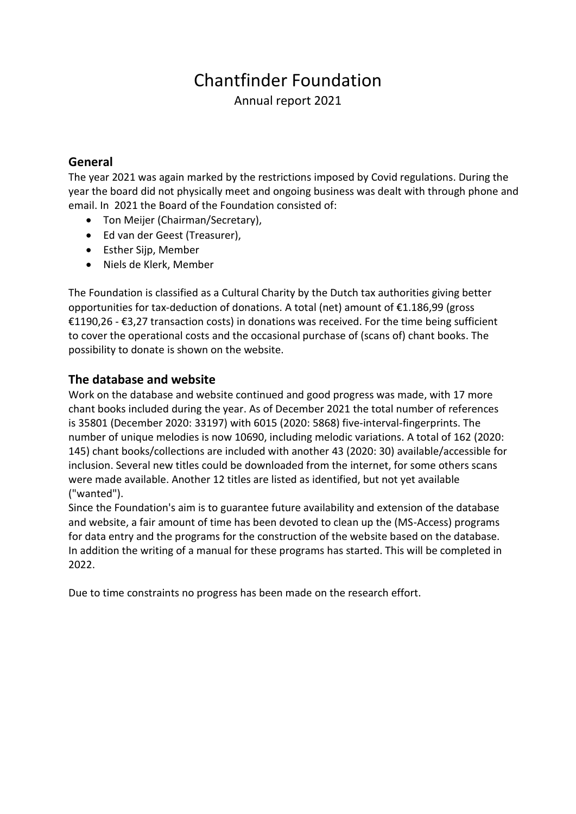## Chantfinder Foundation

Annual report 2021

## **General**

The year 2021 was again marked by the restrictions imposed by Covid regulations. During the year the board did not physically meet and ongoing business was dealt with through phone and email. In 2021 the Board of the Foundation consisted of:

- Ton Meijer (Chairman/Secretary),
- Ed van der Geest (Treasurer),
- Esther Sijp, Member
- Niels de Klerk, Member

The Foundation is classified as a Cultural Charity by the Dutch tax authorities giving better opportunities for tax-deduction of donations. A total (net) amount of €1.186,99 (gross €1190,26 - €3,27 transaction costs) in donations was received. For the time being sufficient to cover the operational costs and the occasional purchase of (scans of) chant books. The possibility to donate is shown on the website.

## **The database and website**

Work on the database and website continued and good progress was made, with 17 more chant books included during the year. As of December 2021 the total number of references is 35801 (December 2020: 33197) with 6015 (2020: 5868) five-interval-fingerprints. The number of unique melodies is now 10690, including melodic variations. A total of 162 (2020: 145) chant books/collections are included with another 43 (2020: 30) available/accessible for inclusion. Several new titles could be downloaded from the internet, for some others scans were made available. Another 12 titles are listed as identified, but not yet available ("wanted").

Since the Foundation's aim is to guarantee future availability and extension of the database and website, a fair amount of time has been devoted to clean up the (MS-Access) programs for data entry and the programs for the construction of the website based on the database. In addition the writing of a manual for these programs has started. This will be completed in 2022.

Due to time constraints no progress has been made on the research effort.